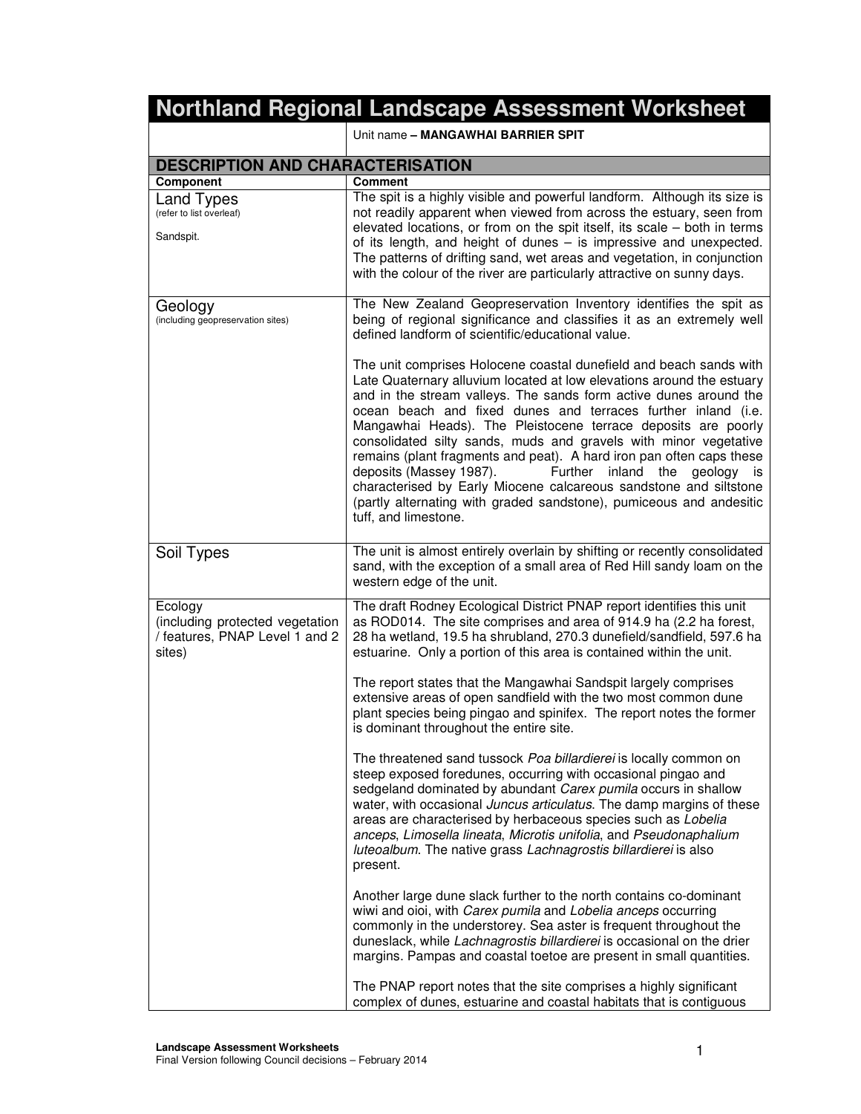|                                                                                        | <b>Northland Regional Landscape Assessment Worksheet</b>                                                                                                                                                                                                                                                                                                                                                                                                                                                                                                                                                                                                 |
|----------------------------------------------------------------------------------------|----------------------------------------------------------------------------------------------------------------------------------------------------------------------------------------------------------------------------------------------------------------------------------------------------------------------------------------------------------------------------------------------------------------------------------------------------------------------------------------------------------------------------------------------------------------------------------------------------------------------------------------------------------|
|                                                                                        | Unit name - MANGAWHAI BARRIER SPIT                                                                                                                                                                                                                                                                                                                                                                                                                                                                                                                                                                                                                       |
| <b>DESCRIPTION AND CHARACTERISATION</b>                                                |                                                                                                                                                                                                                                                                                                                                                                                                                                                                                                                                                                                                                                                          |
| Component                                                                              | <b>Comment</b>                                                                                                                                                                                                                                                                                                                                                                                                                                                                                                                                                                                                                                           |
| Land Types<br>(refer to list overleaf)<br>Sandspit.                                    | The spit is a highly visible and powerful landform. Although its size is<br>not readily apparent when viewed from across the estuary, seen from<br>elevated locations, or from on the spit itself, its scale - both in terms<br>of its length, and height of dunes - is impressive and unexpected.<br>The patterns of drifting sand, wet areas and vegetation, in conjunction<br>with the colour of the river are particularly attractive on sunny days.                                                                                                                                                                                                 |
| Geology<br>(including geopreservation sites)                                           | The New Zealand Geopreservation Inventory identifies the spit as<br>being of regional significance and classifies it as an extremely well<br>defined landform of scientific/educational value.<br>The unit comprises Holocene coastal dunefield and beach sands with                                                                                                                                                                                                                                                                                                                                                                                     |
|                                                                                        | Late Quaternary alluvium located at low elevations around the estuary<br>and in the stream valleys. The sands form active dunes around the<br>ocean beach and fixed dunes and terraces further inland (i.e.<br>Mangawhai Heads). The Pleistocene terrace deposits are poorly<br>consolidated silty sands, muds and gravels with minor vegetative<br>remains (plant fragments and peat). A hard iron pan often caps these<br>Further inland the geology is<br>deposits (Massey 1987).<br>characterised by Early Miocene calcareous sandstone and siltstone<br>(partly alternating with graded sandstone), pumiceous and andesitic<br>tuff, and limestone. |
| Soil Types                                                                             | The unit is almost entirely overlain by shifting or recently consolidated<br>sand, with the exception of a small area of Red Hill sandy loam on the<br>western edge of the unit.                                                                                                                                                                                                                                                                                                                                                                                                                                                                         |
| Ecology<br>(including protected vegetation<br>/ features, PNAP Level 1 and 2<br>sites) | The draft Rodney Ecological District PNAP report identifies this unit<br>as ROD014. The site comprises and area of 914.9 ha (2.2 ha forest,<br>28 ha wetland, 19.5 ha shrubland, 270.3 dunefield/sandfield, 597.6 ha<br>estuarine. Only a portion of this area is contained within the unit.                                                                                                                                                                                                                                                                                                                                                             |
|                                                                                        | The report states that the Mangawhai Sandspit largely comprises<br>extensive areas of open sandfield with the two most common dune<br>plant species being pingao and spinifex. The report notes the former<br>is dominant throughout the entire site.                                                                                                                                                                                                                                                                                                                                                                                                    |
|                                                                                        | The threatened sand tussock Poa billardierei is locally common on<br>steep exposed foredunes, occurring with occasional pingao and<br>sedgeland dominated by abundant Carex pumila occurs in shallow<br>water, with occasional Juncus articulatus. The damp margins of these<br>areas are characterised by herbaceous species such as Lobelia<br>anceps, Limosella lineata, Microtis unifolia, and Pseudonaphalium<br>luteoalbum. The native grass Lachnagrostis billardierei is also<br>present.                                                                                                                                                        |
|                                                                                        | Another large dune slack further to the north contains co-dominant<br>wiwi and oioi, with Carex pumila and Lobelia anceps occurring<br>commonly in the understorey. Sea aster is frequent throughout the<br>duneslack, while Lachnagrostis billardierei is occasional on the drier<br>margins. Pampas and coastal toetoe are present in small quantities.                                                                                                                                                                                                                                                                                                |
|                                                                                        | The PNAP report notes that the site comprises a highly significant<br>complex of dunes, estuarine and coastal habitats that is contiguous                                                                                                                                                                                                                                                                                                                                                                                                                                                                                                                |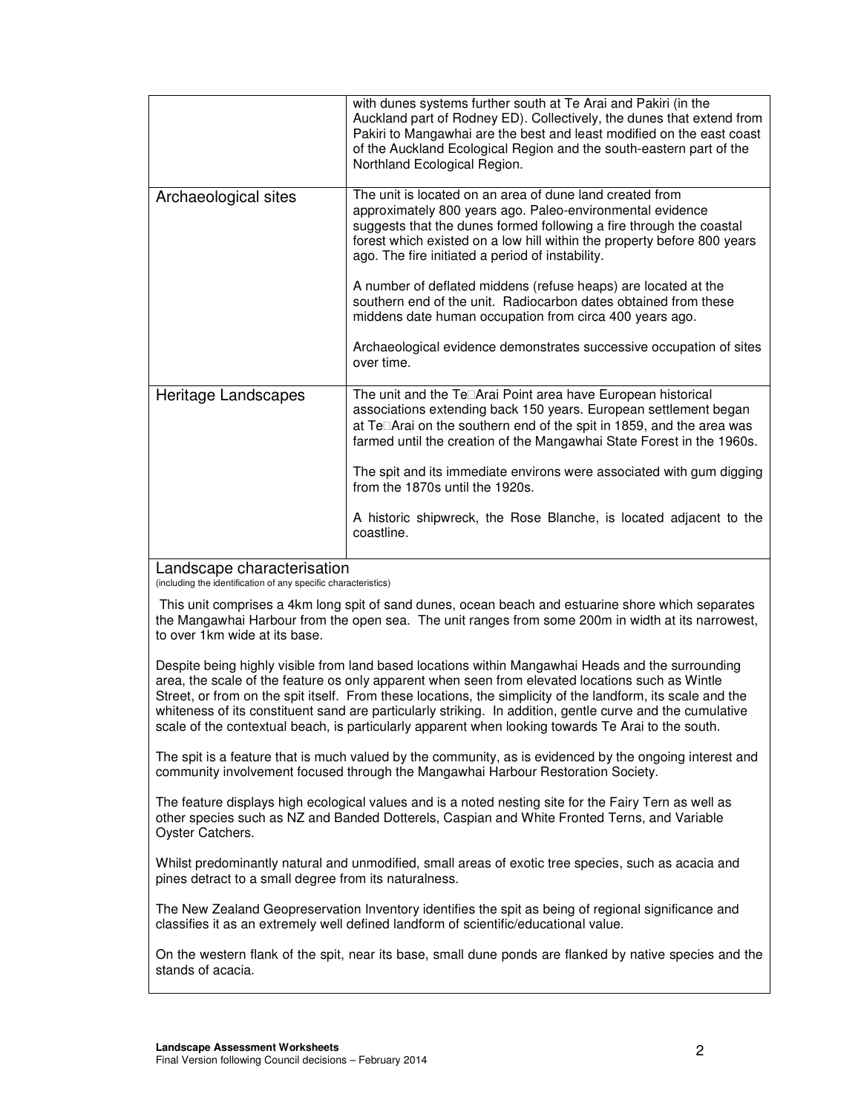|                      | with dunes systems further south at Te Arai and Pakiri (in the<br>Auckland part of Rodney ED). Collectively, the dunes that extend from<br>Pakiri to Mangawhai are the best and least modified on the east coast<br>of the Auckland Ecological Region and the south-eastern part of the<br>Northland Ecological Region.     |
|----------------------|-----------------------------------------------------------------------------------------------------------------------------------------------------------------------------------------------------------------------------------------------------------------------------------------------------------------------------|
| Archaeological sites | The unit is located on an area of dune land created from<br>approximately 800 years ago. Paleo-environmental evidence<br>suggests that the dunes formed following a fire through the coastal<br>forest which existed on a low hill within the property before 800 years<br>ago. The fire initiated a period of instability. |
|                      | A number of deflated middens (refuse heaps) are located at the<br>southern end of the unit. Radiocarbon dates obtained from these<br>middens date human occupation from circa 400 years ago.                                                                                                                                |
|                      | Archaeological evidence demonstrates successive occupation of sites<br>over time.                                                                                                                                                                                                                                           |
| Heritage Landscapes  | The unit and the Te Arai Point area have European historical<br>associations extending back 150 years. European settlement began<br>at Te Arai on the southern end of the spit in 1859, and the area was<br>farmed until the creation of the Mangawhai State Forest in the 1960s.                                           |
|                      | The spit and its immediate environs were associated with gum digging<br>from the 1870s until the 1920s.                                                                                                                                                                                                                     |
|                      | A historic shipwreck, the Rose Blanche, is located adjacent to the<br>coastline.                                                                                                                                                                                                                                            |
|                      |                                                                                                                                                                                                                                                                                                                             |

## Landscape characterisation

(including the identification of any specific characteristics)

 This unit comprises a 4km long spit of sand dunes, ocean beach and estuarine shore which separates the Mangawhai Harbour from the open sea. The unit ranges from some 200m in width at its narrowest, to over 1km wide at its base.

Despite being highly visible from land based locations within Mangawhai Heads and the surrounding area, the scale of the feature os only apparent when seen from elevated locations such as Wintle Street, or from on the spit itself. From these locations, the simplicity of the landform, its scale and the whiteness of its constituent sand are particularly striking. In addition, gentle curve and the cumulative scale of the contextual beach, is particularly apparent when looking towards Te Arai to the south.

The spit is a feature that is much valued by the community, as is evidenced by the ongoing interest and community involvement focused through the Mangawhai Harbour Restoration Society.

The feature displays high ecological values and is a noted nesting site for the Fairy Tern as well as other species such as NZ and Banded Dotterels, Caspian and White Fronted Terns, and Variable Oyster Catchers.

Whilst predominantly natural and unmodified, small areas of exotic tree species, such as acacia and pines detract to a small degree from its naturalness.

The New Zealand Geopreservation Inventory identifies the spit as being of regional significance and classifies it as an extremely well defined landform of scientific/educational value.

On the western flank of the spit, near its base, small dune ponds are flanked by native species and the stands of acacia.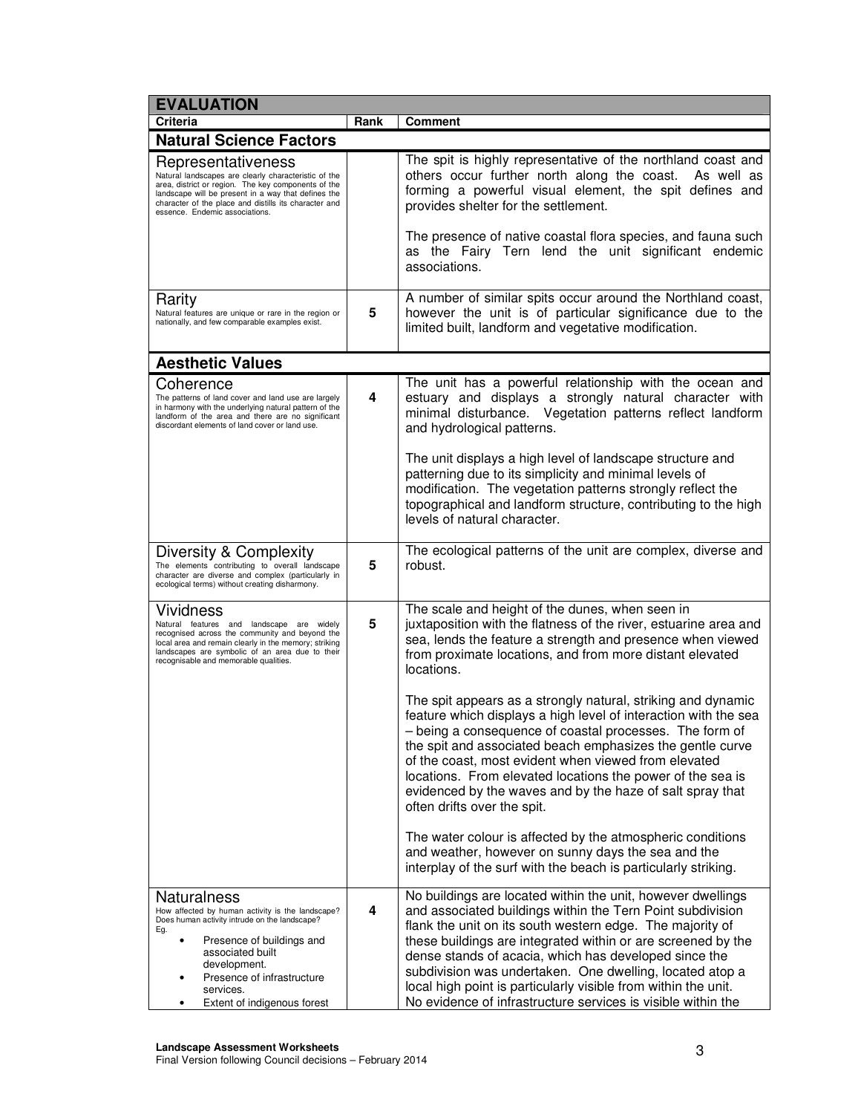| <b>EVALUATION</b>                                                                                                                                                                                                                                                                      |      |                                                                                                                                                                                                                                                                                                                                                                                                                                                                                                               |
|----------------------------------------------------------------------------------------------------------------------------------------------------------------------------------------------------------------------------------------------------------------------------------------|------|---------------------------------------------------------------------------------------------------------------------------------------------------------------------------------------------------------------------------------------------------------------------------------------------------------------------------------------------------------------------------------------------------------------------------------------------------------------------------------------------------------------|
| Criteria                                                                                                                                                                                                                                                                               | Rank | <b>Comment</b>                                                                                                                                                                                                                                                                                                                                                                                                                                                                                                |
| <b>Natural Science Factors</b>                                                                                                                                                                                                                                                         |      |                                                                                                                                                                                                                                                                                                                                                                                                                                                                                                               |
| Representativeness<br>Natural landscapes are clearly characteristic of the<br>area, district or region. The key components of the<br>landscape will be present in a way that defines the<br>character of the place and distills its character and<br>essence. Endemic associations.    |      | The spit is highly representative of the northland coast and<br>others occur further north along the coast.<br>As well as<br>forming a powerful visual element, the spit defines and<br>provides shelter for the settlement.                                                                                                                                                                                                                                                                                  |
|                                                                                                                                                                                                                                                                                        |      | The presence of native coastal flora species, and fauna such<br>as the Fairy Tern lend the unit significant endemic<br>associations.                                                                                                                                                                                                                                                                                                                                                                          |
| Rarity<br>Natural features are unique or rare in the region or<br>nationally, and few comparable examples exist.                                                                                                                                                                       | 5    | A number of similar spits occur around the Northland coast,<br>however the unit is of particular significance due to the<br>limited built, landform and vegetative modification.                                                                                                                                                                                                                                                                                                                              |
| <b>Aesthetic Values</b>                                                                                                                                                                                                                                                                |      |                                                                                                                                                                                                                                                                                                                                                                                                                                                                                                               |
| Coherence<br>The patterns of land cover and land use are largely<br>in harmony with the underlying natural pattern of the<br>landform of the area and there are no significant<br>discordant elements of land cover or land use.                                                       | 4    | The unit has a powerful relationship with the ocean and<br>estuary and displays a strongly natural character with<br>minimal disturbance. Vegetation patterns reflect landform<br>and hydrological patterns.                                                                                                                                                                                                                                                                                                  |
|                                                                                                                                                                                                                                                                                        |      | The unit displays a high level of landscape structure and<br>patterning due to its simplicity and minimal levels of<br>modification. The vegetation patterns strongly reflect the<br>topographical and landform structure, contributing to the high<br>levels of natural character.                                                                                                                                                                                                                           |
| Diversity & Complexity<br>The elements contributing to overall landscape<br>character are diverse and complex (particularly in<br>ecological terms) without creating disharmony.                                                                                                       | 5    | The ecological patterns of the unit are complex, diverse and<br>robust.                                                                                                                                                                                                                                                                                                                                                                                                                                       |
| <b>Vividness</b><br>Natural features and landscape are widely<br>recognised across the community and beyond the<br>local area and remain clearly in the memory; striking<br>landscapes are symbolic of an area due to their<br>recognisable and memorable qualities.                   | 5    | The scale and height of the dunes, when seen in<br>juxtaposition with the flatness of the river, estuarine area and<br>sea, lends the feature a strength and presence when viewed<br>from proximate locations, and from more distant elevated<br>locations.                                                                                                                                                                                                                                                   |
|                                                                                                                                                                                                                                                                                        |      | The spit appears as a strongly natural, striking and dynamic<br>feature which displays a high level of interaction with the sea<br>- being a consequence of coastal processes. The form of<br>the spit and associated beach emphasizes the gentle curve<br>of the coast, most evident when viewed from elevated<br>locations. From elevated locations the power of the sea is<br>evidenced by the waves and by the haze of salt spray that<br>often drifts over the spit.                                     |
|                                                                                                                                                                                                                                                                                        |      | The water colour is affected by the atmospheric conditions<br>and weather, however on sunny days the sea and the<br>interplay of the surf with the beach is particularly striking.                                                                                                                                                                                                                                                                                                                            |
| <b>Naturalness</b><br>How affected by human activity is the landscape?<br>Does human activity intrude on the landscape?<br>Eg.<br>Presence of buildings and<br>associated built<br>development.<br>Presence of infrastructure<br>services.<br>Extent of indigenous forest<br>$\bullet$ | 4    | No buildings are located within the unit, however dwellings<br>and associated buildings within the Tern Point subdivision<br>flank the unit on its south western edge. The majority of<br>these buildings are integrated within or are screened by the<br>dense stands of acacia, which has developed since the<br>subdivision was undertaken. One dwelling, located atop a<br>local high point is particularly visible from within the unit.<br>No evidence of infrastructure services is visible within the |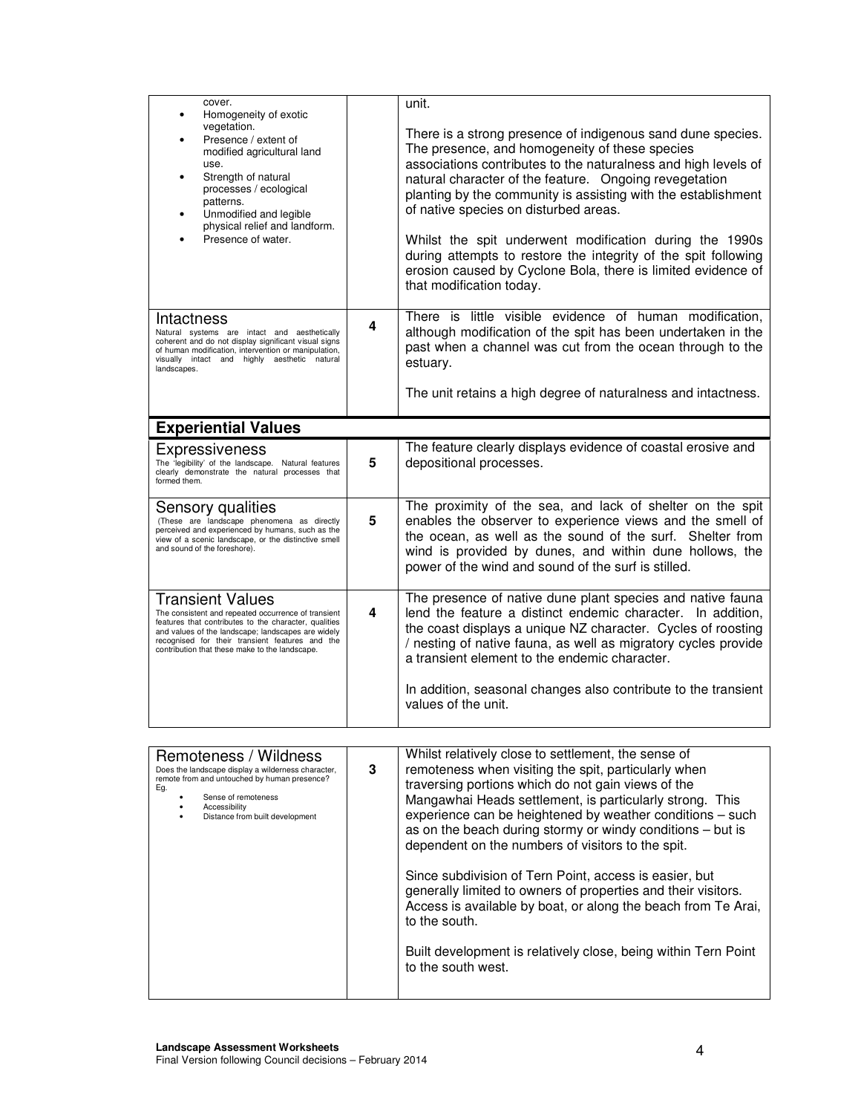| cover.<br>Homogeneity of exotic<br>vegetation.<br>Presence / extent of<br>modified agricultural land<br>use.<br>Strength of natural<br>processes / ecological<br>patterns.<br>Unmodified and legible<br>physical relief and landform.<br>Presence of water.                                        |   | unit.<br>There is a strong presence of indigenous sand dune species.<br>The presence, and homogeneity of these species<br>associations contributes to the naturalness and high levels of<br>natural character of the feature. Ongoing revegetation<br>planting by the community is assisting with the establishment<br>of native species on disturbed areas.<br>Whilst the spit underwent modification during the 1990s<br>during attempts to restore the integrity of the spit following<br>erosion caused by Cyclone Bola, there is limited evidence of<br>that modification today. |
|----------------------------------------------------------------------------------------------------------------------------------------------------------------------------------------------------------------------------------------------------------------------------------------------------|---|---------------------------------------------------------------------------------------------------------------------------------------------------------------------------------------------------------------------------------------------------------------------------------------------------------------------------------------------------------------------------------------------------------------------------------------------------------------------------------------------------------------------------------------------------------------------------------------|
| Intactness<br>Natural systems are intact and aesthetically<br>coherent and do not display significant visual signs<br>of human modification, intervention or manipulation,<br>visually intact and highly aesthetic natural<br>landscapes.                                                          | 4 | There is little visible evidence of human modification,<br>although modification of the spit has been undertaken in the<br>past when a channel was cut from the ocean through to the<br>estuary.<br>The unit retains a high degree of naturalness and intactness.                                                                                                                                                                                                                                                                                                                     |
| <b>Experiential Values</b>                                                                                                                                                                                                                                                                         |   |                                                                                                                                                                                                                                                                                                                                                                                                                                                                                                                                                                                       |
| Expressiveness<br>The 'legibility' of the landscape. Natural features<br>clearly demonstrate the natural processes that<br>formed them.                                                                                                                                                            | 5 | The feature clearly displays evidence of coastal erosive and<br>depositional processes.                                                                                                                                                                                                                                                                                                                                                                                                                                                                                               |
| Sensory qualities<br>(These are landscape phenomena as directly<br>perceived and experienced by humans, such as the<br>view of a scenic landscape, or the distinctive smell<br>and sound of the foreshore).                                                                                        | 5 | The proximity of the sea, and lack of shelter on the spit<br>enables the observer to experience views and the smell of<br>the ocean, as well as the sound of the surf. Shelter from<br>wind is provided by dunes, and within dune hollows, the<br>power of the wind and sound of the surf is stilled.                                                                                                                                                                                                                                                                                 |
| <b>Transient Values</b><br>The consistent and repeated occurrence of transient<br>features that contributes to the character, qualities<br>and values of the landscape; landscapes are widely<br>recognised for their transient features and the<br>contribution that these make to the landscape. | 4 | The presence of native dune plant species and native fauna<br>lend the feature a distinct endemic character. In addition,<br>the coast displays a unique NZ character. Cycles of roosting<br>/ nesting of native fauna, as well as migratory cycles provide<br>a transient element to the endemic character.<br>In addition, seasonal changes also contribute to the transient<br>values of the unit.                                                                                                                                                                                 |
|                                                                                                                                                                                                                                                                                                    |   |                                                                                                                                                                                                                                                                                                                                                                                                                                                                                                                                                                                       |
| Remoteness / Wildness                                                                                                                                                                                                                                                                              |   | Whilst relatively close to settlement, the sense of                                                                                                                                                                                                                                                                                                                                                                                                                                                                                                                                   |

| Remoteness / Wildness<br>Does the landscape display a wilderness character,<br>remote from and untouched by human presence?<br>Eg.<br>Sense of remoteness<br>Accessibility<br>Distance from built development | 3 | Whilst relatively close to settlement, the sense of<br>remoteness when visiting the spit, particularly when<br>traversing portions which do not gain views of the<br>Mangawhai Heads settlement, is particularly strong. This<br>experience can be heightened by weather conditions - such<br>as on the beach during stormy or windy conditions $-$ but is<br>dependent on the numbers of visitors to the spit.<br>Since subdivision of Tern Point, access is easier, but |
|---------------------------------------------------------------------------------------------------------------------------------------------------------------------------------------------------------------|---|---------------------------------------------------------------------------------------------------------------------------------------------------------------------------------------------------------------------------------------------------------------------------------------------------------------------------------------------------------------------------------------------------------------------------------------------------------------------------|
|                                                                                                                                                                                                               |   | generally limited to owners of properties and their visitors.<br>Access is available by boat, or along the beach from Te Arai,<br>to the south.<br>Built development is relatively close, being within Tern Point<br>to the south west.                                                                                                                                                                                                                                   |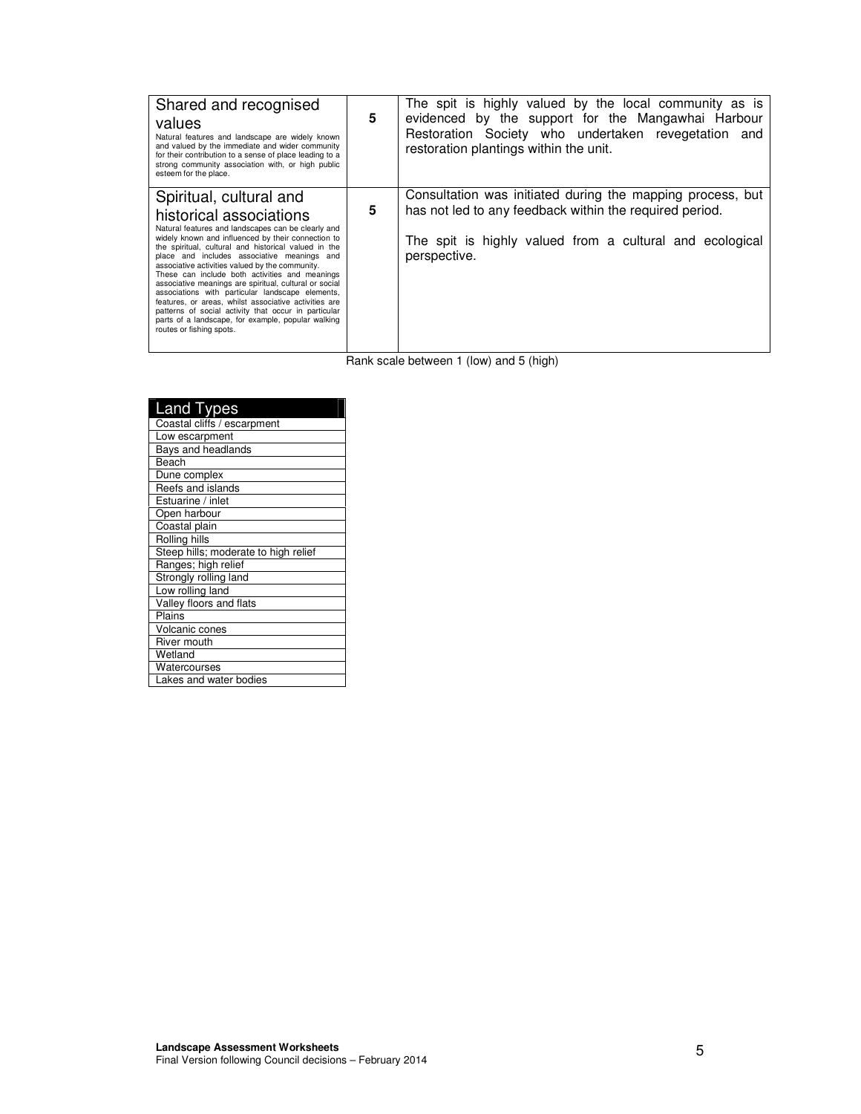| Shared and recognised<br>values<br>Natural features and landscape are widely known<br>and valued by the immediate and wider community<br>for their contribution to a sense of place leading to a<br>strong community association with, or high public<br>esteem for the place.                                                                                                                                                                                                                                                                                                                                                                                                              | 5 | The spit is highly valued by the local community as is<br>evidenced by the support for the Mangawhai Harbour<br>Restoration Society who undertaken revegetation and<br>restoration plantings within the unit. |
|---------------------------------------------------------------------------------------------------------------------------------------------------------------------------------------------------------------------------------------------------------------------------------------------------------------------------------------------------------------------------------------------------------------------------------------------------------------------------------------------------------------------------------------------------------------------------------------------------------------------------------------------------------------------------------------------|---|---------------------------------------------------------------------------------------------------------------------------------------------------------------------------------------------------------------|
| Spiritual, cultural and<br>historical associations<br>Natural features and landscapes can be clearly and<br>widely known and influenced by their connection to<br>the spiritual, cultural and historical valued in the<br>place and includes associative meanings and<br>associative activities valued by the community.<br>These can include both activities and meanings<br>associative meanings are spiritual, cultural or social<br>associations with particular landscape elements,<br>features, or areas, whilst associative activities are<br>patterns of social activity that occur in particular<br>parts of a landscape, for example, popular walking<br>routes or fishing spots. | 5 | Consultation was initiated during the mapping process, but<br>has not led to any feedback within the required period.<br>The spit is highly valued from a cultural and ecological<br>perspective.             |

Rank scale between 1 (low) and 5 (high)

| <b>Land Types</b>                    |
|--------------------------------------|
| Coastal cliffs / escarpment          |
| Low escarpment                       |
| Bays and headlands                   |
| Beach                                |
| Dune complex                         |
| Reefs and islands                    |
| Estuarine / inlet                    |
| Open harbour                         |
| Coastal plain                        |
| Rolling hills                        |
| Steep hills; moderate to high relief |
| Ranges; high relief                  |
| Strongly rolling land                |
| Low rolling land                     |
| Valley floors and flats              |
| Plains                               |
| Volcanic cones                       |
| River mouth                          |
| Wetland                              |
| Watercourses                         |
| Lakes and water bodies               |